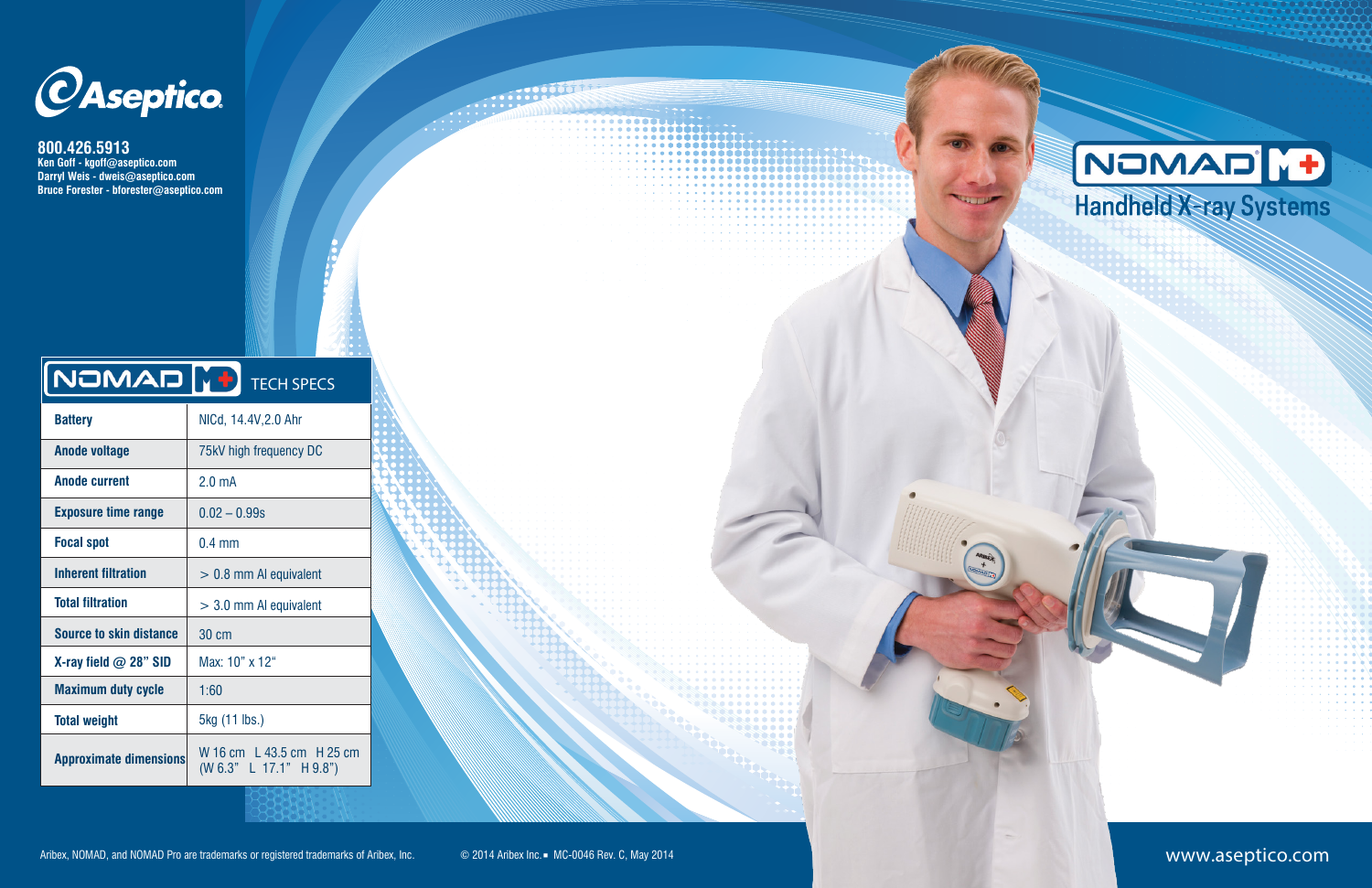



**800.426.5913 Ken Goff - kgoff@aseptico.com Darryl Weis - dweis@aseptico.com Bruce Forester - bforester@aseptico.com**

|                                | <b>NOMAD I F</b> TECH SPECS                          |
|--------------------------------|------------------------------------------------------|
| <b>Battery</b>                 | NICd, 14.4V, 2.0 Ahr                                 |
| <b>Anode voltage</b>           | 75kV high frequency DC                               |
| <b>Anode current</b>           | 2.0 <sub>m</sub> A                                   |
| <b>Exposure time range</b>     | $0.02 - 0.99s$                                       |
| <b>Focal spot</b>              | $0.4 \text{ mm}$                                     |
| <b>Inherent filtration</b>     | $> 0.8$ mm Al equivalent                             |
| <b>Total filtration</b>        | $>$ 3.0 mm AI equivalent                             |
| <b>Source to skin distance</b> | 30 cm                                                |
| X-ray field $@$ 28" SID        | Max: 10" x 12"                                       |
| <b>Maximum duty cycle</b>      | 1:60                                                 |
| <b>Total weight</b>            | 5kg (11 lbs.)                                        |
| <b>Approximate dimensions</b>  | W 16 cm L 43.5 cm H 25 cm<br>(W 6.3" L 17.1" H 9.8") |
|                                |                                                      |